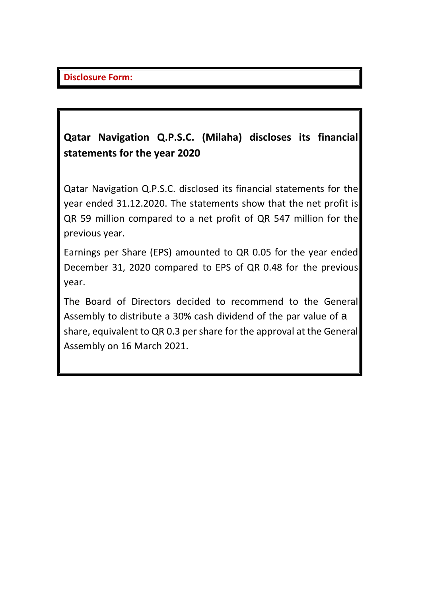## **Qatar Navigation Q.P.S.C. (Milaha) discloses its financial statements for the year 2020**

Qatar Navigation Q.P.S.C. disclosed its financial statements for the year ended 31.12.2020. The statements show that the net profit is QR 59 million compared to a net profit of QR 547 million for the previous year.

Earnings per Share (EPS) amounted to QR 0.05 for the year ended December 31, 2020 compared to EPS of QR 0.48 for the previous year.

The Board of Directors decided to recommend to the General Assembly to distribute a 30% cash dividend of the par value of a share, equivalent to QR 0.3 per share for the approval at the General Assembly on 16 March 2021.